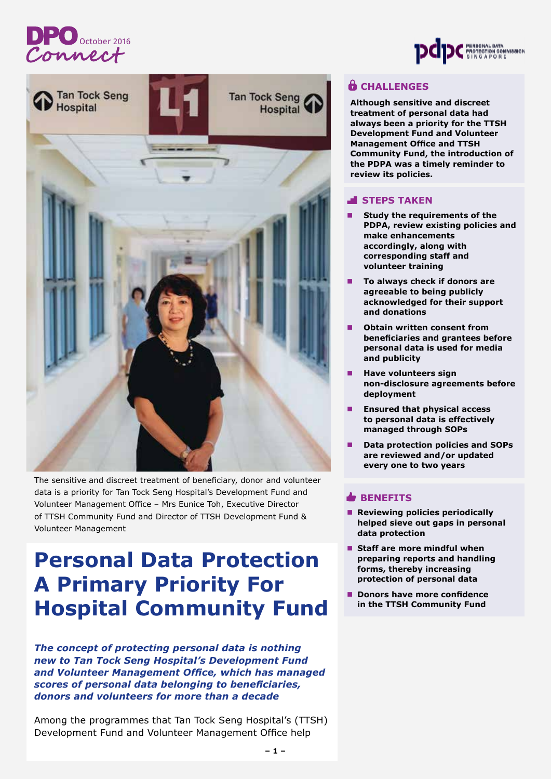# DPO <sub>October 2016</sub>



The sensitive and discreet treatment of beneficiary, donor and volunteer data is a priority for Tan Tock Seng Hospital's Development Fund and Volunteer Management Office – Mrs Eunice Toh, Executive Director of TTSH Community Fund and Director of TTSH Development Fund & Volunteer Management

## **Personal Data Protection A Primary Priority For Hospital Community Fund**

*The concept of protecting personal data is nothing new to Tan Tock Seng Hospital's Development Fund and Volunteer Management Office, which has managed scores of personal data belonging to beneficiaries, donors and volunteers for more than a decade*

Among the programmes that Tan Tock Seng Hospital's (TTSH) Development Fund and Volunteer Management Office help



### **CHALLENGES**

**Although sensitive and discreet treatment of personal data had always been a priority for the TTSH Development Fund and Volunteer Management Office and TTSH Community Fund, the introduction of the PDPA was a timely reminder to review its policies.** 

### **STEPS TAKEN**

- **Study the requirements of the PDPA, review existing policies and make enhancements accordingly, along with corresponding staff and volunteer training**
- n **To always check if donors are agreeable to being publicly acknowledged for their support and donations**
- **Obtain written consent from beneficiaries and grantees before personal data is used for media and publicity**
- n **Have volunteers sign non-disclosure agreements before deployment**
- n **Ensured that physical access to personal data is effectively managed through SOPs**
- **Data protection policies and SOPs are reviewed and/or updated every one to two years**

#### **BENEFITS**

- Reviewing policies periodically **helped sieve out gaps in personal data protection**
- Staff are more mindful when **preparing reports and handling forms, thereby increasing protection of personal data**
- Donors have more confidence **in the TTSH Community Fund**